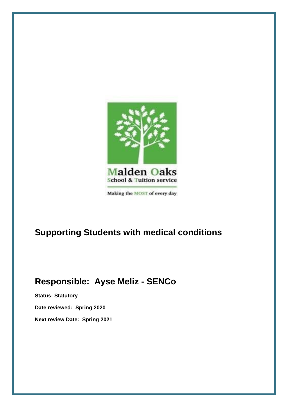

# **Supporting Students with medical conditions**

# **Responsible: Ayse Meliz - SENCo**

**Status: Statutory Date reviewed: Spring 2020 Next review Date: Spring 2021**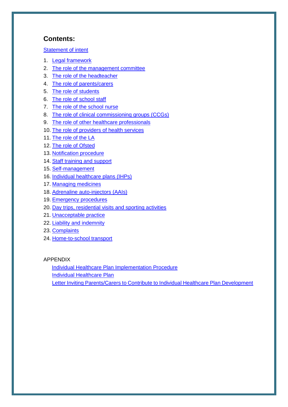#### **Contents:**

[Statement of intent](#page-1-0)

- 1. [Legal framework](#page-3-0)
- 2. [The role of the management committee](#page-3-1)
- 3. [The role of the headteacher](#page-4-0)
- 4. [The role of parents/carers](#page-4-1)
- 5. [The role of students](#page-5-0)
- 6. [The role of school staff](#page-5-1)
- 7. [The role of the school nurse](#page-5-2)
- 8. [The role of clinical commissioning groups \(CCGs\)](#page-5-3)
- 9. [The role of other healthcare professionals](#page-6-0)
- 10. [The role of providers of health services](#page-6-1)
- 11. [The role of the LA](#page-6-2)
- 12. [The role of Ofsted](#page-6-3)
- 13. [Notification procedure](#page-6-4)
- 14. [Staff training and support](#page-7-0)
- 15. [Self-management](#page-8-0)
- 16. [Individual healthcare](#page-8-1) plans (IHPs)
- 17. [Managing medicines](#page-10-0)
- 18. [Adrenaline auto-injectors \(AAIs\)](#page-11-0)
- 19. [Emergency procedures](#page-13-0)
- 20. [Day trips, residential visits and sporting activities](#page-13-1)
- 21. [Unacceptable practice](#page-13-2)
- 22. [Liability and indemnity](#page-14-0)
- 23. [Complaints](#page-14-1)
- 24. [Home-to-school transport](#page-14-2)

#### APPENDIX

[Individual Healthcare Plan Implementation Procedure](#page-16-0) [Individual Healthcare Plan](#page-16-1) 

<span id="page-1-0"></span>Letter Inviting Parents/Carers [to Contribute to Individual Healthcare Plan Development](#page-21-0)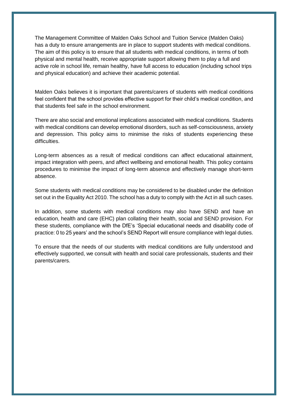The Management Committee of Malden Oaks School and Tuition Service (Malden Oaks) has a duty to ensure arrangements are in place to support students with medical conditions. The aim of this policy is to ensure that all students with medical conditions, in terms of both physical and mental health, receive appropriate support allowing them to play a full and active role in school life, remain healthy, have full access to education (including school trips and physical education) and achieve their academic potential.

Malden Oaks believes it is important that parents/carers of students with medical conditions feel confident that the school provides effective support for their child's medical condition, and that students feel safe in the school environment.

There are also social and emotional implications associated with medical conditions. Students with medical conditions can develop emotional disorders, such as self-consciousness, anxiety and depression. This policy aims to minimise the risks of students experiencing these difficulties.

Long-term absences as a result of medical conditions can affect educational attainment, impact integration with peers, and affect wellbeing and emotional health. This policy contains procedures to minimise the impact of long-term absence and effectively manage short-term absence.

Some students with medical conditions may be considered to be disabled under the definition set out in the Equality Act 2010. The school has a duty to comply with the Act in all such cases.

In addition, some students with medical conditions may also have SEND and have an education, health and care (EHC) plan collating their health, social and SEND provision. For these students, compliance with the DfE's 'Special educational needs and disability code of practice: 0 to 25 years' and the school's SEND Report will ensure compliance with legal duties.

To ensure that the needs of our students with medical conditions are fully understood and effectively supported, we consult with health and social care professionals, students and their parents/carers.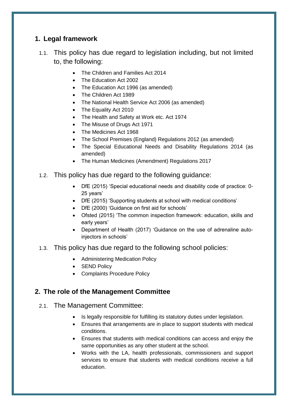#### <span id="page-3-0"></span>**1. Legal framework**

- 1.1. This policy has due regard to legislation including, but not limited to, the following:
	- The Children and Families Act 2014
	- The Education Act 2002
	- The Education Act 1996 (as amended)
	- The Children Act 1989
	- The National Health Service Act 2006 (as amended)
	- The Equality Act 2010
	- The Health and Safety at Work etc. Act 1974
	- The Misuse of Drugs Act 1971
	- The Medicines Act 1968
	- The School Premises (England) Regulations 2012 (as amended)
	- The Special Educational Needs and Disability Regulations 2014 (as amended)
	- The Human Medicines (Amendment) Regulations 2017
- 1.2. This policy has due regard to the following guidance:
	- DfE (2015) 'Special educational needs and disability code of practice: 0- 25 years'
	- DfE (2015) 'Supporting students at school with medical conditions'
	- DfE (2000) 'Guidance on first aid for schools'
	- Ofsted (2015) 'The common inspection framework: education, skills and early years'
	- Department of Health (2017) 'Guidance on the use of adrenaline autoinjectors in schools'
- 1.3. This policy has due regard to the following school policies:
	- Administering Medication Policy
	- SEND Policy
	- Complaints Procedure Policy

## <span id="page-3-1"></span>**2. The role of the Management Committee**

- 2.1. The Management Committee:
	- Is legally responsible for fulfilling its statutory duties under legislation.
	- Ensures that arrangements are in place to support students with medical conditions.
	- Ensures that students with medical conditions can access and enjoy the same opportunities as any other student at the school.
	- Works with the LA, health professionals, commissioners and support services to ensure that students with medical conditions receive a full education.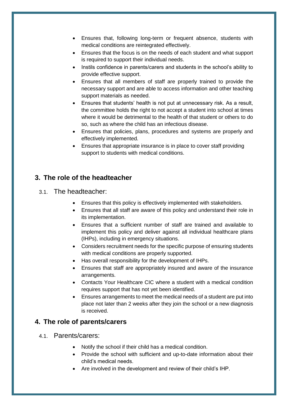- Ensures that, following long-term or frequent absence, students with medical conditions are reintegrated effectively.
- Ensures that the focus is on the needs of each student and what support is required to support their individual needs.
- Instils confidence in parents/carers and students in the school's ability to provide effective support.
- Ensures that all members of staff are properly trained to provide the necessary support and are able to access information and other teaching support materials as needed.
- Ensures that students' health is not put at unnecessary risk. As a result, the committee holds the right to not accept a student into school at times where it would be detrimental to the health of that student or others to do so, such as where the child has an infectious disease.
- Ensures that policies, plans, procedures and systems are properly and effectively implemented.
- Ensures that appropriate insurance is in place to cover staff providing support to students with medical conditions.

#### <span id="page-4-0"></span>**3. The role of the headteacher**

#### 3.1. The headteacher:

- Ensures that this policy is effectively implemented with stakeholders.
- Ensures that all staff are aware of this policy and understand their role in its implementation.
- Ensures that a sufficient number of staff are trained and available to implement this policy and deliver against all individual healthcare plans (IHPs), including in emergency situations.
- Considers recruitment needs for the specific purpose of ensuring students with medical conditions are properly supported.
- Has overall responsibility for the development of IHPs.
- Ensures that staff are appropriately insured and aware of the insurance arrangements.
- Contacts Your Healthcare CIC where a student with a medical condition requires support that has not yet been identified.
- Ensures arrangements to meet the medical needs of a student are put into place not later than 2 weeks after they join the school or a new diagnosis is received.

#### <span id="page-4-1"></span>**4. The role of parents/carers**

- 4.1. Parents/carers:
	- Notify the school if their child has a medical condition.
	- Provide the school with sufficient and up-to-date information about their child's medical needs.
	- Are involved in the development and review of their child's IHP.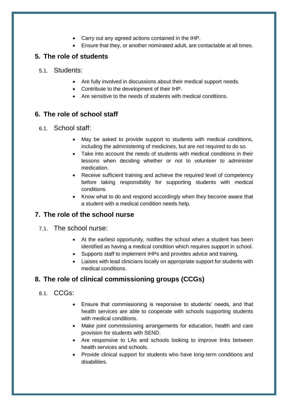- Carry out any agreed actions contained in the IHP.
- Ensure that they, or another nominated adult, are contactable at all times.

#### <span id="page-5-0"></span>**5. The role of students**

- 5.1. Students:
	- Are fully involved in discussions about their medical support needs.
	- Contribute to the development of their IHP.
	- Are sensitive to the needs of students with medical conditions.

#### <span id="page-5-1"></span>**6. The role of school staff**

#### 6.1. School staff:

- May be asked to provide support to students with medical conditions, including the administering of medicines, but are not required to do so.
- Take into account the needs of students with medical conditions in their lessons when deciding whether or not to volunteer to administer medication.
- Receive sufficient training and achieve the required level of competency before taking responsibility for supporting students with medical conditions.
- Know what to do and respond accordingly when they become aware that a student with a medical condition needs help.

## <span id="page-5-2"></span>**7. The role of the school nurse**

#### 7.1. The school nurse:

- At the earliest opportunity, notifies the school when a student has been identified as having a medical condition which requires support in school.
- Supports staff to implement IHPs and provides advice and training.
- Liaises with lead clinicians locally on appropriate support for students with medical conditions.

#### <span id="page-5-3"></span>**8. The role of clinical commissioning groups (CCGs)**

#### 8.1. CCGs:

- Ensure that commissioning is responsive to students' needs, and that health services are able to cooperate with schools supporting students with medical conditions.
- Make joint commissioning arrangements for education, health and care provision for students with SEND.
- Are responsive to LAs and schools looking to improve links between health services and schools.
- Provide clinical support for students who have long-term conditions and disabilities.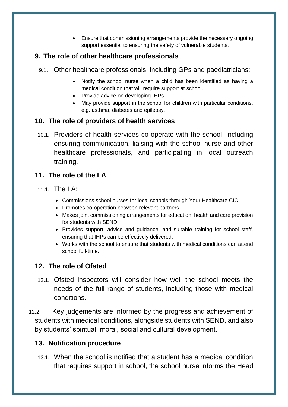Ensure that commissioning arrangements provide the necessary ongoing support essential to ensuring the safety of vulnerable students.

#### <span id="page-6-0"></span>**9. The role of other healthcare professionals**

- 9.1. Other healthcare professionals, including GPs and paediatricians:
	- Notify the school nurse when a child has been identified as having a medical condition that will require support at school.
	- Provide advice on developing IHPs.
	- May provide support in the school for children with particular conditions, e.g. asthma, diabetes and epilepsy.

## <span id="page-6-1"></span>**10. The role of providers of health services**

10.1. Providers of health services co-operate with the school, including ensuring communication, liaising with the school nurse and other healthcare professionals, and participating in local outreach training.

#### <span id="page-6-2"></span>**11. The role of the LA**

- 11.1. The LA:
	- Commissions school nurses for local schools through Your Healthcare CIC.
	- Promotes co-operation between relevant partners.
	- Makes joint commissioning arrangements for education, health and care provision for students with SEND.
	- Provides support, advice and guidance, and suitable training for school staff, ensuring that IHPs can be effectively delivered.
	- Works with the school to ensure that students with medical conditions can attend school full-time.

## <span id="page-6-3"></span>**12. The role of Ofsted**

- 12.1. Ofsted inspectors will consider how well the school meets the needs of the full range of students, including those with medical conditions.
- 12.2. Key judgements are informed by the progress and achievement of students with medical conditions, alongside students with SEND, and also by students' spiritual, moral, social and cultural development.

## <span id="page-6-4"></span>**13. Notification procedure**

13.1. When the school is notified that a student has a medical condition that requires support in school, the school nurse informs the Head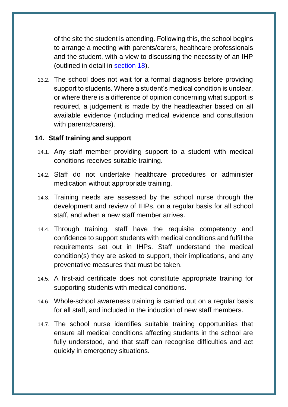of the site the student is attending. Following this, the school begins to arrange a meeting with parents/carers, healthcare professionals and the student, with a view to discussing the necessity of an IHP (outlined in detail in [section 18\)](#page-8-1).

13.2. The school does not wait for a formal diagnosis before providing support to students. Where a student's medical condition is unclear, or where there is a difference of opinion concerning what support is required, a judgement is made by the headteacher based on all available evidence (including medical evidence and consultation with parents/carers).

#### <span id="page-7-0"></span>**14. Staff training and support**

- 14.1. Any staff member providing support to a student with medical conditions receives suitable training.
- 14.2. Staff do not undertake healthcare procedures or administer medication without appropriate training.
- 14.3. Training needs are assessed by the school nurse through the development and review of IHPs, on a regular basis for all school staff, and when a new staff member arrives.
- 14.4. Through training, staff have the requisite competency and confidence to support students with medical conditions and fulfil the requirements set out in IHPs. Staff understand the medical condition(s) they are asked to support, their implications, and any preventative measures that must be taken.
- 14.5. A first-aid certificate does not constitute appropriate training for supporting students with medical conditions.
- 14.6. Whole-school awareness training is carried out on a regular basis for all staff, and included in the induction of new staff members.
- 14.7. The school nurse identifies suitable training opportunities that ensure all medical conditions affecting students in the school are fully understood, and that staff can recognise difficulties and act quickly in emergency situations.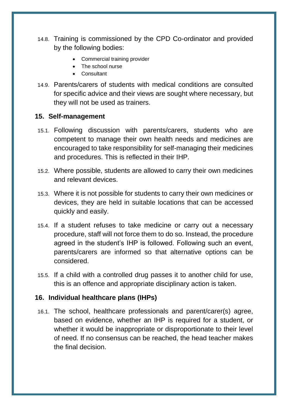- 14.8. Training is commissioned by the CPD Co-ordinator and provided by the following bodies:
	- Commercial training provider
	- The school nurse
	- Consultant
- 14.9. Parents/carers of students with medical conditions are consulted for specific advice and their views are sought where necessary, but they will not be used as trainers.

#### <span id="page-8-0"></span>**15. Self-management**

- 15.1. Following discussion with parents/carers, students who are competent to manage their own health needs and medicines are encouraged to take responsibility for self-managing their medicines and procedures. This is reflected in their IHP.
- 15.2. Where possible, students are allowed to carry their own medicines and relevant devices.
- 15.3. Where it is not possible for students to carry their own medicines or devices, they are held in suitable locations that can be accessed quickly and easily.
- 15.4. If a student refuses to take medicine or carry out a necessary procedure, staff will not force them to do so. Instead, the procedure agreed in the student's IHP is followed. Following such an event, parents/carers are informed so that alternative options can be considered.
- 15.5. If a child with a controlled drug passes it to another child for use, this is an offence and appropriate disciplinary action is taken.

#### <span id="page-8-1"></span>**16. Individual healthcare plans (IHPs)**

16.1. The school, healthcare professionals and parent/carer(s) agree, based on evidence, whether an IHP is required for a student, or whether it would be inappropriate or disproportionate to their level of need. If no consensus can be reached, the head teacher makes the final decision.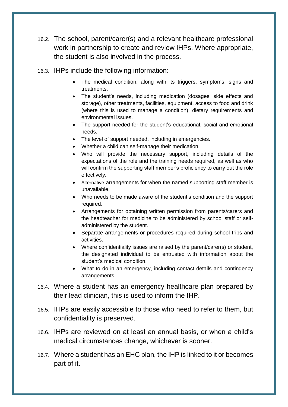- 16.2. The school, parent/carer(s) and a relevant healthcare professional work in partnership to create and review IHPs. Where appropriate, the student is also involved in the process.
- 16.3. IHPs include the following information:
	- The medical condition, along with its triggers, symptoms, signs and treatments.
	- The student's needs, including medication (dosages, side effects and storage), other treatments, facilities, equipment, access to food and drink (where this is used to manage a condition), dietary requirements and environmental issues.
	- The support needed for the student's educational, social and emotional needs.
	- The level of support needed, including in emergencies.
	- Whether a child can self-manage their medication.
	- Who will provide the necessary support, including details of the expectations of the role and the training needs required, as well as who will confirm the supporting staff member's proficiency to carry out the role effectively.
	- Alternative arrangements for when the named supporting staff member is unavailable.
	- Who needs to be made aware of the student's condition and the support required.
	- Arrangements for obtaining written permission from parents/carers and the headteacher for medicine to be administered by school staff or selfadministered by the student.
	- Separate arrangements or procedures required during school trips and activities.
	- Where confidentiality issues are raised by the parent/carer(s) or student, the designated individual to be entrusted with information about the student's medical condition.
	- What to do in an emergency, including contact details and contingency arrangements.
- 16.4. Where a student has an emergency healthcare plan prepared by their lead clinician, this is used to inform the IHP.
- 16.5. IHPs are easily accessible to those who need to refer to them, but confidentiality is preserved.
- 16.6. IHPs are reviewed on at least an annual basis, or when a child's medical circumstances change, whichever is sooner.
- 16.7. Where a student has an EHC plan, the IHP is linked to it or becomes part of it.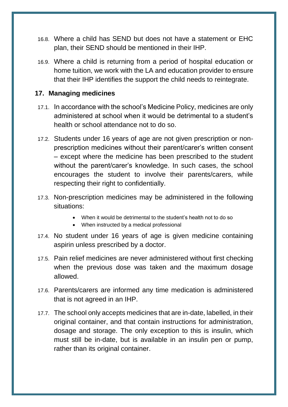- 16.8. Where a child has SEND but does not have a statement or EHC plan, their SEND should be mentioned in their IHP.
- 16.9. Where a child is returning from a period of hospital education or home tuition, we work with the LA and education provider to ensure that their IHP identifies the support the child needs to reintegrate.

#### <span id="page-10-0"></span>**17. Managing medicines**

- 17.1. In accordance with the school's Medicine Policy, medicines are only administered at school when it would be detrimental to a student's health or school attendance not to do so.
- 17.2. Students under 16 years of age are not given prescription or nonprescription medicines without their parent/carer's written consent – except where the medicine has been prescribed to the student without the parent/carer's knowledge. In such cases, the school encourages the student to involve their parents/carers, while respecting their right to confidentially.
- 17.3. Non-prescription medicines may be administered in the following situations:
	- When it would be detrimental to the student's health not to do so
	- When instructed by a medical professional
- 17.4. No student under 16 years of age is given medicine containing aspirin unless prescribed by a doctor.
- 17.5. Pain relief medicines are never administered without first checking when the previous dose was taken and the maximum dosage allowed.
- 17.6. Parents/carers are informed any time medication is administered that is not agreed in an IHP.
- 17.7. The school only accepts medicines that are in-date, labelled, in their original container, and that contain instructions for administration, dosage and storage. The only exception to this is insulin, which must still be in-date, but is available in an insulin pen or pump, rather than its original container.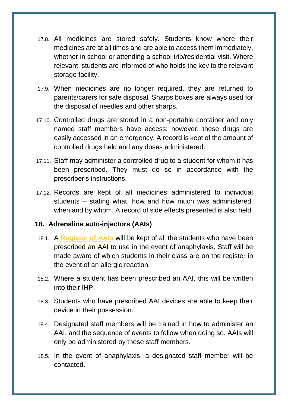- 17.8. All medicines are stored safely. Students know where their medicines are at all times and are able to access them immediately, whether in school or attending a school trip/residential visit. Where relevant, students are informed of who holds the key to the relevant storage facility.
- 17.9. When medicines are no longer required, they are returned to parents/carers for safe disposal. Sharps boxes are always used for the disposal of needles and other sharps.
- 17.10. Controlled drugs are stored in a non-portable container and only named staff members have access; however, these drugs are easily accessed in an emergency. A record is kept of the amount of controlled drugs held and any doses administered.
- 17.11. Staff may administer a controlled drug to a student for whom it has been prescribed. They must do so in accordance with the prescriber's instructions.
- 17.12. Records are kept of all medicines administered to individual students – stating what, how and how much was administered, when and by whom. A record of side effects presented is also held.

#### <span id="page-11-0"></span>**18. Adrenaline auto-injectors (AAIs)**

- 18.1. A **Register of AAIs** will be kept of all the students who have been prescribed an AAI to use in the event of anaphylaxis. Staff will be made aware of which students in their class are on the register in the event of an allergic reaction.
- 18.2. Where a student has been prescribed an AAI, this will be written into their IHP.
- 18.3. Students who have prescribed AAI devices are able to keep their device in their possession.
- 18.4. Designated staff members will be trained in how to administer an AAI, and the sequence of events to follow when doing so. AAIs will only be administered by these staff members.
- 18.5. In the event of anaphylaxis, a designated staff member will be contacted.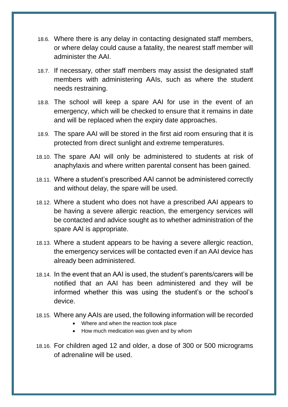- 18.6. Where there is any delay in contacting designated staff members, or where delay could cause a fatality, the nearest staff member will administer the AAI.
- 18.7. If necessary, other staff members may assist the designated staff members with administering AAIs, such as where the student needs restraining.
- 18.8. The school will keep a spare AAI for use in the event of an emergency, which will be checked to ensure that it remains in date and will be replaced when the expiry date approaches.
- 18.9. The spare AAI will be stored in the first aid room ensuring that it is protected from direct sunlight and extreme temperatures.
- 18.10. The spare AAI will only be administered to students at risk of anaphylaxis and where written parental consent has been gained.
- 18.11. Where a student's prescribed AAI cannot be administered correctly and without delay, the spare will be used.
- 18.12. Where a student who does not have a prescribed AAI appears to be having a severe allergic reaction, the emergency services will be contacted and advice sought as to whether administration of the spare AAI is appropriate.
- 18.13. Where a student appears to be having a severe allergic reaction, the emergency services will be contacted even if an AAI device has already been administered.
- 18.14. In the event that an AAI is used, the student's parents/carers will be notified that an AAI has been administered and they will be informed whether this was using the student's or the school's device.
- 18.15. Where any AAIs are used, the following information will be recorded
	- Where and when the reaction took place
	- How much medication was given and by whom
- 18.16. For children aged 12 and older, a dose of 300 or 500 micrograms of adrenaline will be used.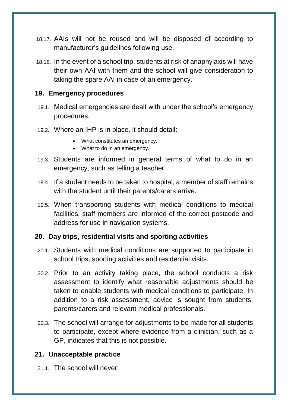- 18.17. AAIs will not be reused and will be disposed of according to manufacturer's guidelines following use.
- 18.18. In the event of a school trip, students at risk of anaphylaxis will have their own AAI with them and the school will give consideration to taking the spare AAI in case of an emergency.

#### <span id="page-13-0"></span>**19. Emergency procedures**

- 19.1. Medical emergencies are dealt with under the school's emergency procedures.
- 19.2. Where an IHP is in place, it should detail:
	- What constitutes an emergency.
	- What to do in an emergency.
- 19.3. Students are informed in general terms of what to do in an emergency, such as telling a teacher.
- 19.4. If a student needs to be taken to hospital, a member of staff remains with the student until their parents/carers arrive.
- 19.5. When transporting students with medical conditions to medical facilities, staff members are informed of the correct postcode and address for use in navigation systems.

#### <span id="page-13-1"></span>**20. Day trips, residential visits and sporting activities**

- 20.1. Students with medical conditions are supported to participate in school trips, sporting activities and residential visits.
- 20.2. Prior to an activity taking place, the school conducts a risk assessment to identify what reasonable adjustments should be taken to enable students with medical conditions to participate. In addition to a risk assessment, advice is sought from students, parents/carers and relevant medical professionals.
- 20.3. The school will arrange for adjustments to be made for all students to participate, except where evidence from a clinician, such as a GP, indicates that this is not possible.

## <span id="page-13-2"></span>**21. Unacceptable practice**

21.1. The school will never: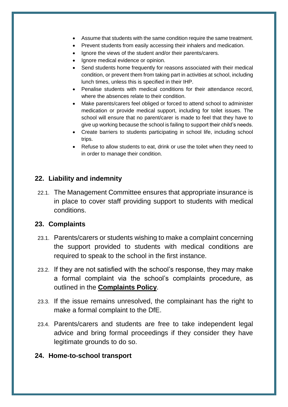- Assume that students with the same condition require the same treatment.
- Prevent students from easily accessing their inhalers and medication.
- Ignore the views of the student and/or their parents/carers.
- Ignore medical evidence or opinion.
- Send students home frequently for reasons associated with their medical condition, or prevent them from taking part in activities at school, including lunch times, unless this is specified in their IHP.
- Penalise students with medical conditions for their attendance record, where the absences relate to their condition.
- Make parents/carers feel obliged or forced to attend school to administer medication or provide medical support, including for toilet issues. The school will ensure that no parent/carer is made to feel that they have to give up working because the school is failing to support their child's needs.
- Create barriers to students participating in school life, including school trips.
- Refuse to allow students to eat, drink or use the toilet when they need to in order to manage their condition.

#### <span id="page-14-0"></span>**22. Liability and indemnity**

22.1. The Management Committee ensures that appropriate insurance is in place to cover staff providing support to students with medical conditions.

#### <span id="page-14-1"></span>**23. Complaints**

- 23.1. Parents/carers or students wishing to make a complaint concerning the support provided to students with medical conditions are required to speak to the school in the first instance.
- 23.2. If they are not satisfied with the school's response, they may make a formal complaint via the school's complaints procedure, as outlined in the **Complaints Policy**.
- 23.3. If the issue remains unresolved, the complainant has the right to make a formal complaint to the DfE.
- 23.4. Parents/carers and students are free to take independent legal advice and bring formal proceedings if they consider they have legitimate grounds to do so.

#### <span id="page-14-2"></span>**24. Home-to-school transport**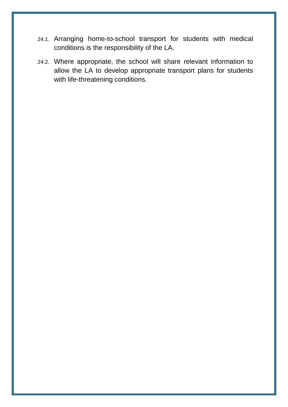- 24.1. Arranging home-to-school transport for students with medical conditions is the responsibility of the LA.
- 24.2. Where appropriate, the school will share relevant information to allow the LA to develop appropriate transport plans for students with life-threatening conditions.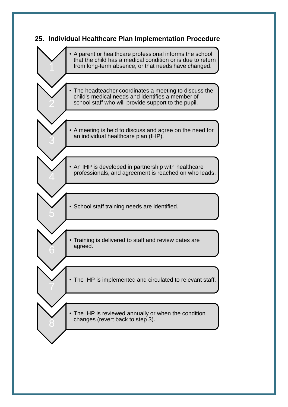#### <span id="page-16-1"></span><span id="page-16-0"></span>**25. Individual Healthcare Plan Implementation Procedure**

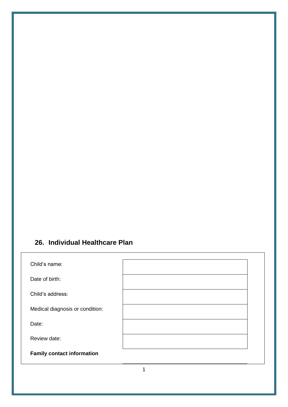## **26. Individual Healthcare Plan**

| Child's name:                     |  |
|-----------------------------------|--|
| Date of birth:                    |  |
| Child's address:                  |  |
| Medical diagnosis or condition:   |  |
| Date:                             |  |
| Review date:                      |  |
| <b>Family contact information</b> |  |

1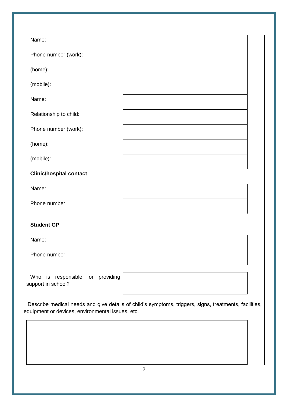| Name:                          |  |  |  |
|--------------------------------|--|--|--|
| Phone number (work):           |  |  |  |
| (home):                        |  |  |  |
| (mobile):                      |  |  |  |
| Name:                          |  |  |  |
| Relationship to child:         |  |  |  |
| Phone number (work):           |  |  |  |
| (home):                        |  |  |  |
| (mobile):                      |  |  |  |
| <b>Clinic/hospital contact</b> |  |  |  |
| Name:                          |  |  |  |
| Phone number:                  |  |  |  |
| <b>Student GP</b>              |  |  |  |
|                                |  |  |  |
| Name:                          |  |  |  |
| Phone number:                  |  |  |  |

Who is responsible for providing support in school?

| ١g |  |
|----|--|
|    |  |

Describe medical needs and give details of child's symptoms, triggers, signs, treatments, facilities, equipment or devices, environmental issues, etc.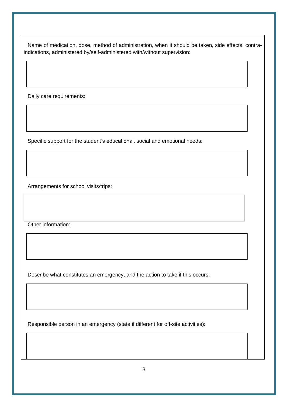Name of medication, dose, method of administration, when it should be taken, side effects, contraindications, administered by/self-administered with/without supervision:

Daily care requirements:

Specific support for the student's educational, social and emotional needs:

Arrangements for school visits/trips:

Other information:

Describe what constitutes an emergency, and the action to take if this occurs:

Responsible person in an emergency (state if different for off-site activities):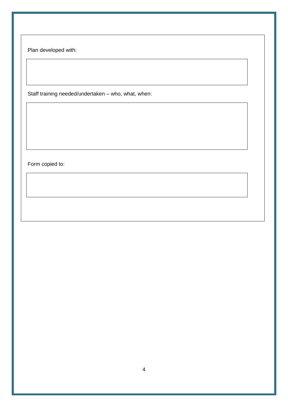Plan developed with:

Staff training needed/undertaken – who, what, when:

Form copied to: